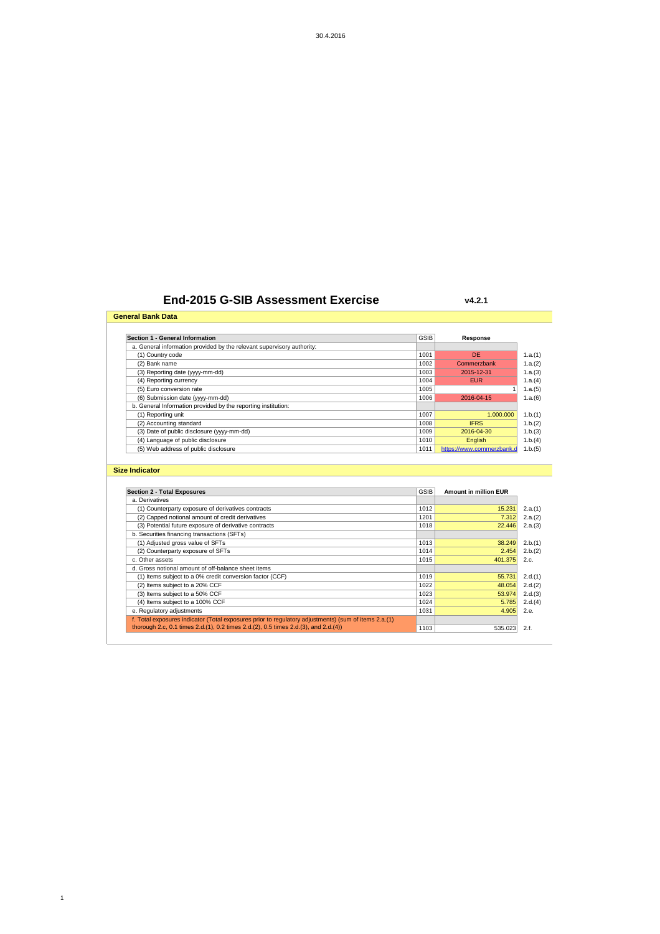## **End-2015 G-SIB Assessment Exercise**

**General Bank Data**

1

**v4.2.1**

| Section 1 - General Information                                        | GSIB        | Response                  |
|------------------------------------------------------------------------|-------------|---------------------------|
| a. General information provided by the relevant supervisory authority: |             |                           |
| (1) Country code                                                       | 1001        | DE                        |
| (2) Bank name                                                          | 1002        | Commerzbank               |
| (3) Reporting date (yyyy-mm-dd)                                        | 1003        | 2015-12-31                |
| (4) Reporting currency                                                 | 1004        | <b>EUR</b>                |
| (5) Euro conversion rate                                               | 1005        |                           |
| (6) Submission date (yyyy-mm-dd)                                       | 1006        | 2016-04-15                |
| b. General Information provided by the reporting institution:          |             |                           |
| (1) Reporting unit                                                     | 1007        | 1.000.000                 |
| (2) Accounting standard                                                | 1008        | <b>IFRS</b>               |
| (3) Date of public disclosure (yyyy-mm-dd)                             | 1009        | 2016-04-30                |
| (4) Language of public disclosure                                      | 1010        | English                   |
| (5) Web address of public disclosure                                   | 1011        | https://www.commerzbank.d |
|                                                                        |             |                           |
| <b>Size Indicator</b>                                                  |             |                           |
|                                                                        |             |                           |
|                                                                        |             |                           |
| <b>Section 2 - Total Exposures</b>                                     | <b>GSIB</b> | Amount in million EUR     |
| a. Derivatives                                                         |             |                           |
| (1) Counterparty exposure of derivatives contracts                     | 1012        | 15.231                    |
| (2) Capped notional amount of credit derivatives                       | 1201        | 7.312                     |

| 1012 | 15.231  | 2.a.(1) |
|------|---------|---------|
| 1201 | 7.312   | 2.a.(2) |
| 1018 | 22,446  | 2.a.(3) |
|      |         |         |
| 1013 | 38.249  | 2.b.(1) |
| 1014 | 2.454   | 2.b.(2) |
| 1015 | 401.375 | 2.c.    |
|      |         |         |
| 1019 | 55.731  | 2.d.(1) |
| 1022 | 48.054  | 2.d.(2) |
| 1023 | 53.974  | 2.d.(3) |
| 1024 | 5.785   | 2.d.(4) |
| 1031 | 4.905   | 2.e.    |
|      |         |         |
| 1103 | 535.023 | 2.f.    |
|      |         |         |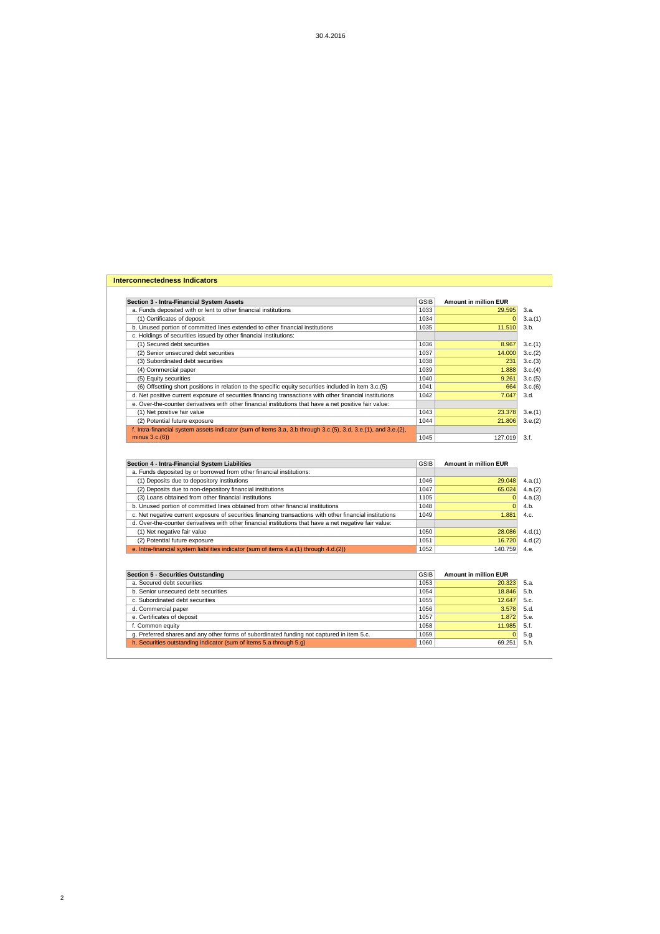| Section 3 - Intra-Financial System Assets                                                                     | <b>GSIB</b>  | <b>Amount in million EUR</b> |                                                             |
|---------------------------------------------------------------------------------------------------------------|--------------|------------------------------|-------------------------------------------------------------|
| a. Funds deposited with or lent to other financial institutions                                               | 1033         | 29.595                       | 3.a.                                                        |
| (1) Certificates of deposit                                                                                   | 1034         | $\overline{0}$               | 3.a.(1)                                                     |
| b. Unused portion of committed lines extended to other financial institutions                                 | 1035         | 11.510                       | 3.b.                                                        |
| c. Holdings of securities issued by other financial institutions:                                             |              |                              |                                                             |
| (1) Secured debt securities                                                                                   | 1036         | 8.967                        | 3.c.(1)                                                     |
| (2) Senior unsecured debt securities                                                                          | 1037         | 14.000                       | 3.c.(2)                                                     |
| (3) Subordinated debt securities                                                                              | 1038         | 231                          | 3.c.(3)                                                     |
| (4) Commercial paper                                                                                          | 1039         | 1.888                        | 3.c.(4)                                                     |
| (5) Equity securities                                                                                         | 1040         | 9.261                        | 3.c.(5)                                                     |
| (6) Offsetting short positions in relation to the specific equity securities included in item 3.c.(5)         | 1041         | 664                          | 3.c.(6)                                                     |
| d. Net positive current exposure of securities financing transactions with other financial institutions       | 1042         | 7.047                        | 3.d.                                                        |
| e. Over-the-counter derivatives with other financial institutions that have a net positive fair value:        |              |                              |                                                             |
| (1) Net positive fair value                                                                                   | 1043         | 23.378                       | 3.e.(1)                                                     |
| (2) Potential future exposure                                                                                 | 1044         | 21.806                       | 3.e.(2)                                                     |
| f. Intra-financial system assets indicator (sum of items 3.a, 3.b through 3.c.(5), 3.d, 3.e.(1), and 3.e.(2), |              |                              |                                                             |
| minus $3.c.(6)$                                                                                               | 1045         | 127.019                      | 3.f.                                                        |
| a. Funds deposited by or borrowed from other financial institutions:                                          |              |                              |                                                             |
| Section 4 - Intra-Financial System Liabilities                                                                | <b>GSIB</b>  | <b>Amount in million EUR</b> |                                                             |
| (1) Deposits due to depository institutions                                                                   | 1046         |                              |                                                             |
| (2) Deposits due to non-depository financial institutions                                                     |              | 29.048                       |                                                             |
|                                                                                                               | 1047         | 65.024                       |                                                             |
| (3) Loans obtained from other financial institutions                                                          | 1105         | $\overline{0}$               |                                                             |
|                                                                                                               | 1048         | $\mathbf{0}$                 | 4.b.                                                        |
| b. Unused portion of committed lines obtained from other financial institutions                               | 1049         | 1.881                        | 4.c.                                                        |
| c. Net negative current exposure of securities financing transactions with other financial institutions       |              |                              |                                                             |
| d. Over-the-counter derivatives with other financial institutions that have a net negative fair value:        | 1050         | 28.086                       |                                                             |
| (1) Net negative fair value                                                                                   |              |                              |                                                             |
| (2) Potential future exposure                                                                                 | 1051<br>1052 | 16.720                       | 4.e.                                                        |
| e. Intra-financial system liabilities indicator (sum of items 4.a.(1) through 4.d.(2))                        |              | 140.759                      |                                                             |
|                                                                                                               |              |                              |                                                             |
|                                                                                                               | <b>GSIB</b>  | <b>Amount in million EUR</b> |                                                             |
| <b>Section 5 - Securities Outstanding</b><br>a. Secured debt securities                                       | 1053         | 20.323                       | 5.a.                                                        |
| b. Senior unsecured debt securities                                                                           | 1054         | 18.846                       | 5.b.                                                        |
| c. Subordinated debt securities                                                                               | 1055         | 12.647                       | 5.c.                                                        |
| d. Commercial paper                                                                                           | 1056         | 3.578                        | 4.a.(1)<br>4.a.(2)<br>4.a.(3)<br>4.d.(1)<br>4.d.(2)<br>5.d. |
| e. Certificates of deposit                                                                                    | 1057         | 1.872                        | 5.e.                                                        |
| f. Common equity<br>g. Preferred shares and any other forms of subordinated funding not captured in item 5.c. | 1058<br>1059 | 11.985<br>$\mathbf{0}$       | 5.f.<br>5.g.                                                |

2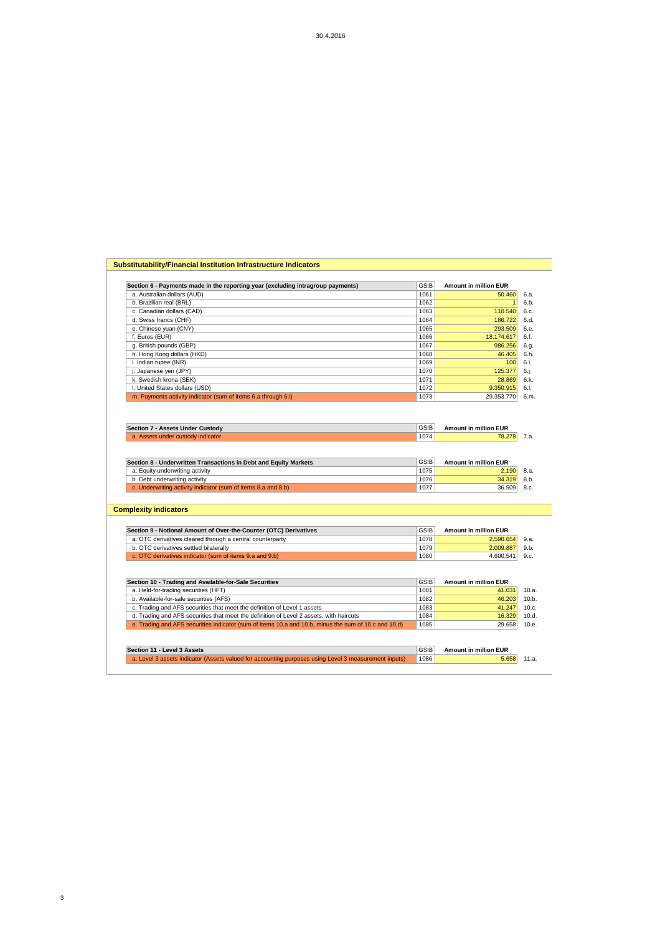| 1067<br>1068<br>1069<br>1070<br>1071<br>1072<br>1073<br><b>GSIB</b><br>1074<br><b>GSIB</b><br>1075<br>1076<br>1077 | 986.256<br>46.405<br>100<br>125.377<br>28.869<br>9.350.915<br>29.353.770<br><b>Amount in million EUR</b><br>78.278<br><b>Amount in million EUR</b><br>2.190<br>34.319<br>36.509 |
|--------------------------------------------------------------------------------------------------------------------|---------------------------------------------------------------------------------------------------------------------------------------------------------------------------------|
|                                                                                                                    |                                                                                                                                                                                 |
|                                                                                                                    |                                                                                                                                                                                 |
|                                                                                                                    |                                                                                                                                                                                 |
|                                                                                                                    |                                                                                                                                                                                 |
|                                                                                                                    |                                                                                                                                                                                 |
|                                                                                                                    |                                                                                                                                                                                 |
|                                                                                                                    |                                                                                                                                                                                 |
|                                                                                                                    |                                                                                                                                                                                 |
|                                                                                                                    |                                                                                                                                                                                 |
|                                                                                                                    |                                                                                                                                                                                 |
|                                                                                                                    |                                                                                                                                                                                 |
|                                                                                                                    |                                                                                                                                                                                 |
|                                                                                                                    |                                                                                                                                                                                 |
|                                                                                                                    |                                                                                                                                                                                 |
|                                                                                                                    |                                                                                                                                                                                 |
|                                                                                                                    |                                                                                                                                                                                 |
|                                                                                                                    |                                                                                                                                                                                 |
|                                                                                                                    |                                                                                                                                                                                 |
|                                                                                                                    |                                                                                                                                                                                 |
| <b>GSIB</b>                                                                                                        | <b>Amount in million EUR</b>                                                                                                                                                    |
| 1078                                                                                                               | 2.590.654                                                                                                                                                                       |
| 1079                                                                                                               | 2.009.887                                                                                                                                                                       |
| 1080                                                                                                               | 4.600.541                                                                                                                                                                       |
|                                                                                                                    |                                                                                                                                                                                 |
|                                                                                                                    |                                                                                                                                                                                 |
| <b>GSIB</b>                                                                                                        | <b>Amount in million EUR</b>                                                                                                                                                    |
| 1081                                                                                                               | 41.031                                                                                                                                                                          |
|                                                                                                                    | 46.203                                                                                                                                                                          |
|                                                                                                                    |                                                                                                                                                                                 |
| 1083                                                                                                               | 41.247                                                                                                                                                                          |
| 1084                                                                                                               | 16.329                                                                                                                                                                          |
| 1085                                                                                                               | 29.658                                                                                                                                                                          |
|                                                                                                                    | 1082                                                                                                                                                                            |

**Section 6 - Payments made in the reporting year (excluding intragroup payments)** GSIB **Amount in million EUR**<br> **a.** Australian dollars (AUD) 6.a.<br> **b.** Brazilian real (BRL) 6.b.<br> **c.** Canadian dollars (CAD) 6.c.<br> **dollars** a. Australian dollars (AUD) 1061 50.460 6.a. b. Brazilian real (BRL) 1062 1 6.b. c. Canadian dollars (CAD) 1063 110.540 6.c. d. Swiss francs (CHF) 1064 186.722 6.d. e. Chinese yuan (CNY) 293.509 6.e.

**Substitutability/Financial Institution Infrastructure Indicators**

3